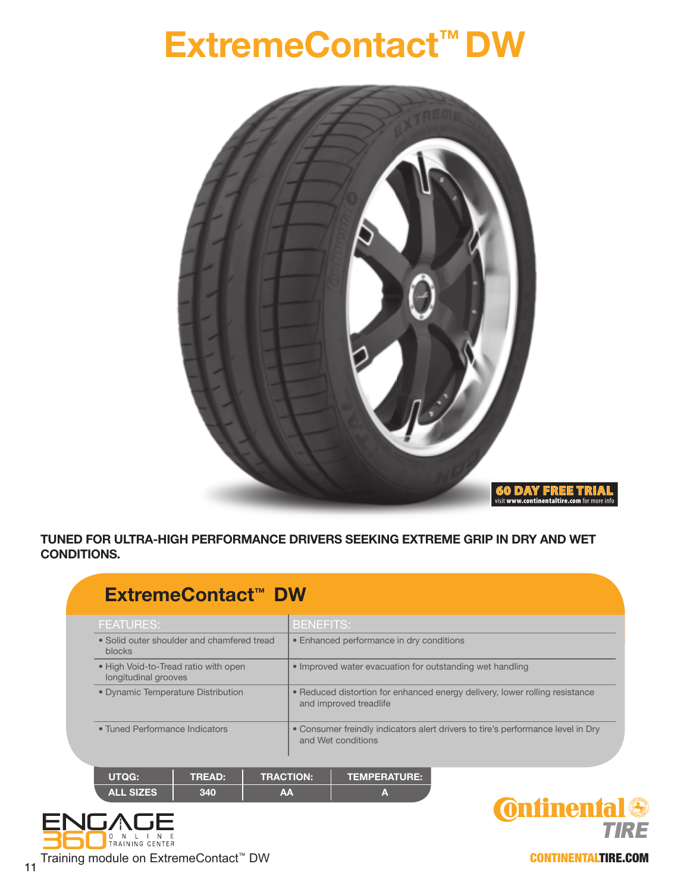## **ExtremeContact™ DW**



## **TUNED FOR ULTRA-HIGH PERFORMANCE DRIVERS SEEKING EXTREME GRIP IN DRY AND WET CONDITIONS.**

| ExtremeContact <sup>™</sup> DW                               |               |    |                                                                                                       |                     |  |  |  |  |  |  |  |  |
|--------------------------------------------------------------|---------------|----|-------------------------------------------------------------------------------------------------------|---------------------|--|--|--|--|--|--|--|--|
| <b>FEATURES:</b>                                             |               |    | <b>BENEFITS:</b>                                                                                      |                     |  |  |  |  |  |  |  |  |
| • Solid outer shoulder and chamfered tread<br><b>blocks</b>  |               |    | • Enhanced performance in dry conditions                                                              |                     |  |  |  |  |  |  |  |  |
| . High Void-to-Tread ratio with open<br>longitudinal grooves |               |    | • Improved water evacuation for outstanding wet handling                                              |                     |  |  |  |  |  |  |  |  |
| • Dynamic Temperature Distribution                           |               |    | • Reduced distortion for enhanced energy delivery, lower rolling resistance<br>and improved treadlife |                     |  |  |  |  |  |  |  |  |
| • Tuned Performance Indicators                               |               |    | • Consumer freindly indicators alert drivers to tire's performance level in Dry<br>and Wet conditions |                     |  |  |  |  |  |  |  |  |
|                                                              |               |    |                                                                                                       |                     |  |  |  |  |  |  |  |  |
| <b>UTQG:</b>                                                 | <b>TREAD:</b> |    | <b>TRACTION:</b>                                                                                      | <b>TEMPERATURE:</b> |  |  |  |  |  |  |  |  |
| <b>ALL SIZES</b>                                             | 340           | AA |                                                                                                       | A                   |  |  |  |  |  |  |  |  |



**Onfinental TIRE** 

CONTINENTALTIRE.COM

Training module on ExtremeContact<sup>™</sup> DW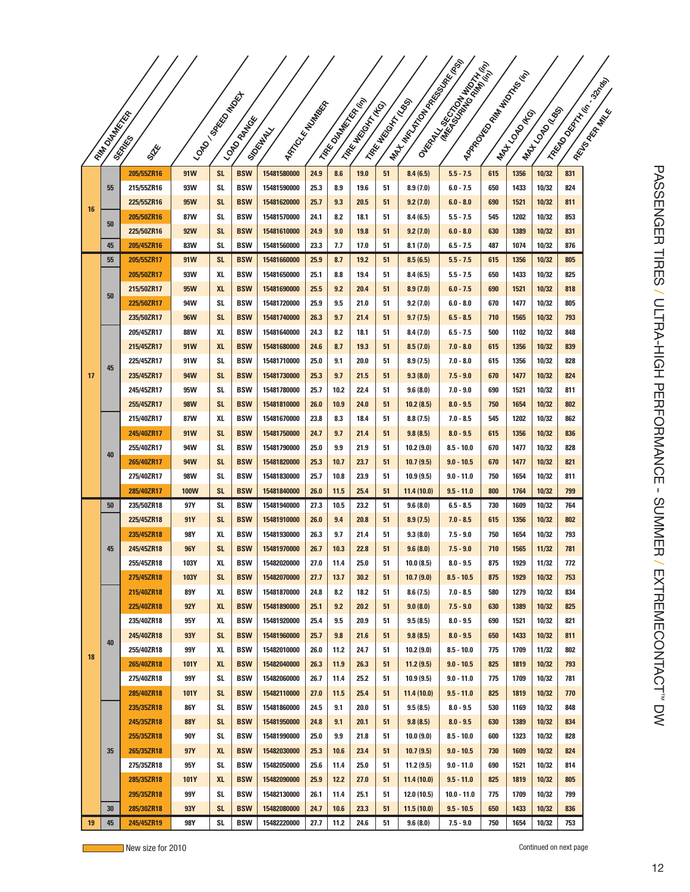|    |                      |                          |                   |                 |                          |                                           |              |                   |                     |                     |                        | Martin Collaboration Report<br><b>I</b> Okay, Michael Bank of Manuscript<br>I Roadwall River Marian<br>I Read Document R. Basic |            |               |                |            |  |
|----|----------------------|--------------------------|-------------------|-----------------|--------------------------|-------------------------------------------|--------------|-------------------|---------------------|---------------------|------------------------|---------------------------------------------------------------------------------------------------------------------------------|------------|---------------|----------------|------------|--|
|    |                      |                          |                   |                 |                          |                                           |              |                   |                     |                     |                        |                                                                                                                                 |            |               |                |            |  |
|    |                      |                          |                   |                 |                          |                                           |              |                   |                     |                     |                        |                                                                                                                                 |            |               |                |            |  |
|    |                      |                          |                   |                 |                          |                                           |              |                   |                     |                     |                        |                                                                                                                                 |            |               |                |            |  |
|    | <b>FAM DISTRICTS</b> | <b>SKAMES</b><br>STE     |                   | I LONDON BOOM   | <b>LONDRAN</b>           | I MAZICAL MUNICIPAL RA<br><b>Sigurday</b> |              | I TRE DUMBERTAINS | I TAKE MATCH THE OR | I TAKE MICHAEL ROSS |                        |                                                                                                                                 |            | I MAY COMPASS | I MATCONOGIE   |            |  |
|    |                      |                          | 91W               | <b>SL</b>       | <b>BSW</b>               | 15481580000                               | 24.9         | 8.6               | 19.0                | 51                  |                        |                                                                                                                                 | 615        | 1356          | 10/32          | 831        |  |
| 16 | 55                   | 205/55ZR16<br>215/55ZR16 | 93W               | SL              | <b>BSW</b>               | 15481590000                               | 25.3         | 8.9               | 19.6                | 51                  | 8.4(6.5)<br>8.9(7.0)   | $5.5 - 7.5$<br>$6.0 - 7.5$                                                                                                      | 650        | 1433          | 10/32          | 824        |  |
|    |                      | 225/55ZR16               | 95W               | <b>SL</b>       | <b>BSW</b>               | 15481620000                               | 25.7         | 9.3               | 20.5                | 51                  | 9.2(7.0)               | $6.0 - 8.0$                                                                                                                     | 690        | 1521          | 10/32          | 811        |  |
|    |                      | 205/50ZR16               | 87W               | SL              | <b>BSW</b>               | 15481570000                               | 24.1         | 8.2               | 18.1                | 51                  | 8.4(6.5)               | $5.5 - 7.5$                                                                                                                     | 545        | 1202          | 10/32          | 853        |  |
|    | 50                   | 225/50ZR16               | <b>92W</b>        | <b>SL</b>       | <b>BSW</b>               | 15481610000                               | 24.9         | 9.0               | 19.8                | 51                  | 9.2(7.0)               | $6.0 - 8.0$                                                                                                                     | 630        | 1389          | 10/32          | 831        |  |
|    | 45                   | 205/45ZR16               | 83W               | SL              | <b>BSW</b>               | 15481560000                               | 23.3         | 7.7               | 17.0                | 51                  | 8.1(7.0)               | $6.5 - 7.5$                                                                                                                     | 487        | 1074          | 10/32          | 876        |  |
|    | 55                   | 205/55ZR17               | 91W               | <b>SL</b>       | <b>BSW</b>               | 15481660000                               | 25.9         | 8.7               | 19.2                | 51                  | 8.5(6.5)               | $5.5 - 7.5$                                                                                                                     | 615        | 1356          | 10/32          | 805        |  |
|    |                      | 205/50ZR17               | 93W               | XL              | <b>BSW</b>               | 15481650000                               | 25.1         | 8.8               | 19.4                | 51                  | 8.4(6.5)               | $5.5 - 7.5$                                                                                                                     | 650        | 1433          | 10/32          | 825        |  |
|    |                      | 215/50ZR17               | 95W               | <b>XL</b>       | <b>BSW</b>               | 15481690000                               | 25.5         | 9.2               | 20.4                | 51                  | 8.9(7.0)               | $6.0 - 7.5$                                                                                                                     | 690        | 1521          | 10/32          | 818        |  |
|    | 50                   | 225/50ZR17               | 94W               | SL              | <b>BSW</b>               | 15481720000                               | 25.9         | 9.5               | 21.0                | 51                  | 9.2(7.0)               | $6.0 - 8.0$                                                                                                                     | 670        | 1477          | 10/32          | 805        |  |
|    |                      | 235/50ZR17               | <b>96W</b>        | <b>SL</b>       | <b>BSW</b>               | 15481740000                               | 26.3         | 9.7               | 21.4                | 51                  | 9.7(7.5)               | $6.5 - 8.5$                                                                                                                     | 710        | 1565          | 10/32          | 793        |  |
|    |                      | 205/45ZR17               | <b>88W</b>        | XL              | <b>BSW</b>               | 15481640000                               | 24.3         | 8.2               | 18.1                | 51                  | 8.4(7.0)               | $6.5 - 7.5$                                                                                                                     | 500        | 1102          | 10/32          | 848        |  |
|    | 45                   | 215/45ZR17               | 91W               | <b>XL</b>       | <b>BSW</b>               | 15481680000                               | 24.6         | 8.7               | 19.3                | 51                  | 8.5(7.0)               | $7.0 - 8.0$                                                                                                                     | 615        | 1356          | 10/32          | 839        |  |
| 17 |                      | 225/45ZR17               | 91W               | SL              | <b>BSW</b>               | 15481710000                               | 25.0         | 9.1               | 20.0                | 51                  | 8.9(7.5)               | $7.0 - 8.0$                                                                                                                     | 615        | 1356          | 10/32          | 828        |  |
|    |                      | 235/45ZR17               | 94W               | <b>SL</b>       | <b>BSW</b>               | 15481730000                               | 25.3         | 9.7               | 21.5                | 51                  | 9.3(8.0)               | $7.5 - 9.0$                                                                                                                     | 670        | 1477          | 10/32          | 824        |  |
|    |                      | 245/45ZR17               | 95W               | SL              | <b>BSW</b>               | 15481780000                               | 25.7         | 10.2              | 22.4                | 51                  | 9.6(8.0)               | $7.0 - 9.0$                                                                                                                     | 690        | 1521          | 10/32          | 811        |  |
|    |                      | 255/45ZR17               | <b>98W</b>        | <b>SL</b>       | <b>BSW</b>               | 15481810000                               | 26.0         | 10.9              | 24.0                | 51                  | 10.2(8.5)              | $8.0 - 9.5$                                                                                                                     | 750        | 1654          | 10/32          | 802        |  |
|    | 40                   | 215/40ZR17               | 87W               | XL              | <b>BSW</b>               | 15481670000                               | 23.8         | 8.3               | 18.4                | 51                  | 8.8(7.5)               | $7.0 - 8.5$                                                                                                                     | 545        | 1202          | 10/32          | 862        |  |
|    |                      | 245/40ZR17               | 91W               | <b>SL</b>       | <b>BSW</b>               | 15481750000                               | 24.7         | 9.7               | 21.4                | 51                  | 9.8(8.5)               | $8.0 - 9.5$                                                                                                                     | 615        | 1356          | 10/32          | 836        |  |
|    |                      | 255/40ZR17               | 94W<br>94W        | SL<br><b>SL</b> | <b>BSW</b><br><b>BSW</b> | 15481790000                               | 25.0<br>25.3 | 9.9<br>10.7       | 21.9<br>23.7        | 51                  | 10.2 (9.0)             | $8.5 - 10.0$<br>$9.0 - 10.5$                                                                                                    | 670<br>670 | 1477<br>1477  | 10/32          | 828<br>821 |  |
|    |                      | 265/40ZR17<br>275/40ZR17 | 98W               | SL              | <b>BSW</b>               | 15481820000<br>15481830000                | 25.7         | 10.8              | 23.9                | 51<br>51            | 10.7(9.5)<br>10.9(9.5) | $9.0 - 11.0$                                                                                                                    | 750        | 1654          | 10/32<br>10/32 | 811        |  |
|    |                      | 285/40ZR17               | <b>100W</b>       | <b>SL</b>       | <b>BSW</b>               | 15481840000                               | 26.0         | 11.5              | 25.4                | 51                  | 11.4(10.0)             | $9.5 - 11.0$                                                                                                                    | 800        | 1764          | 10/32          | 799        |  |
|    | 50                   | 235/50ZR18               | 97Y               | SL              | <b>BSW</b>               | 15481940000                               | 27.3         | 10.5              | 23.2                | 51                  | 9.6(8.0)               | $6.5 - 8.5$                                                                                                                     | 730        | 1609          | 10/32          | 764        |  |
|    |                      | 225/45ZR18               | 91Y               | <b>SL</b>       | <b>BSW</b>               | 15481910000                               | 26.0         | 9.4               | 20.8                | 51                  | 8.9(7.5)               | $7.0 - 8.5$                                                                                                                     | 615        | 1356          | 10/32          | 802        |  |
|    |                      | 235/45ZR18               | 98Y               | XL              | <b>BSW</b>               | 15481930000                               | 26.3         | 9.7               | 21.4                | 51                  | 9.3(8.0)               | $7.5 - 9.0$                                                                                                                     | 750        | 1654          | 10/32          | 793        |  |
|    | 45                   | 245/45ZR18               | 96Y               | <b>SL</b>       | <b>BSW</b>               | 15481970000                               | 26.7         | 10.3              | 22.8                | 51                  | 9.6(8.0)               | $7.5 - 9.0$                                                                                                                     | 710        | 1565          | 11/32          | 781        |  |
|    |                      | 255/45ZR18               | 103Y              | XL              | <b>BSW</b>               | 15482020000                               | 27.0         | 11.4              | 25.0                | 51                  | 10.0(8.5)              | $8.0 - 9.5$                                                                                                                     | 875        | 1929          | 11/32          | 772        |  |
|    |                      | 275/45ZR18               | 103Y              | <b>SL</b>       | <b>BSW</b>               | 15482070000                               | 27.7         | 13.7              | 30.2                | 51                  | 10.7(9.0)              | $8.5 - 10.5$                                                                                                                    | 875        | 1929          | 10/32          | 753        |  |
|    |                      | 215/40ZR18               | 89Y               | XL              | <b>BSW</b>               | 15481870000                               | 24.8         | 8.2               | 18.2                | 51                  | 8.6(7.5)               | $7.0 - 8.5$                                                                                                                     | 580        | 1279          | 10/32          | 834        |  |
|    |                      | 225/40ZR18               | <b>92Y</b>        | <b>XL</b>       | <b>BSW</b>               | 15481890000                               | 25.1         | 9.2               | 20.2                | 51                  | 9.0(8.0)               | $7.5 - 9.0$                                                                                                                     | 630        | 1389          | 10/32          | 825        |  |
|    | 40                   | 235/40ZR18               | 95Y               | XL              | <b>BSW</b>               | 15481920000                               | 25.4         | 9.5               | 20.9                | 51                  | 9.5(8.5)               | $8.0 - 9.5$                                                                                                                     | 690        | 1521          | 10/32          | 821        |  |
|    |                      | 245/40ZR18               | 93Y               | SL              | <b>BSW</b>               | 15481960000                               | 25.7         | 9.8               | 21.6                | 51                  | 9.8(8.5)               | $8.0 - 9.5$                                                                                                                     | 650        | 1433          | 10/32          | 811        |  |
| 18 |                      | 255/40ZR18               | 99Y               | XL              | <b>BSW</b>               | 15482010000                               | 26.0         | 11.2              | 24.7                | 51                  | 10.2(9.0)              | $8.5 - 10.0$                                                                                                                    | 775        | 1709          | 11/32          | 802        |  |
|    |                      | 265/40ZR18               | 101Y              | XL              | <b>BSW</b>               | 15482040000                               | 26.3         | 11.9              | 26.3                | 51                  | 11.2(9.5)              | $9.0 - 10.5$                                                                                                                    | 825        | 1819          | 10/32          | 793        |  |
|    |                      | 275/40ZR18               | 99Y               | SL              | <b>BSW</b>               | 15482060000                               | 26.7         | 11.4              | 25.2                | 51                  | 10.9(9.5)              | $9.0 - 11.0$                                                                                                                    | 775        | 1709          | 10/32          | 781        |  |
|    |                      | 285/40ZR18               | <b>101Y</b>       | <b>SL</b>       | <b>BSW</b>               | 15482110000                               | 27.0         | 11.5              | 25.4                | 51                  | 11.4(10.0)             | $9.5 - 11.0$                                                                                                                    | 825        | 1819          | 10/32          | 770        |  |
|    |                      | 235/35ZR18               | 86Y               | SL              | <b>BSW</b>               | 15481860000                               | 24.5         | 9.1               | 20.0                | 51                  | 9.5(8.5)               | $8.0 - 9.5$                                                                                                                     | 530        | 1169          | 10/32          | 848        |  |
|    |                      | 245/35ZR18               | <b>88Y</b><br>90Y | <b>SL</b>       | <b>BSW</b>               | 15481950000                               | 24.8<br>25.0 | 9.1<br>9.9        | 20.1                | 51                  | 9.8(8.5)               | $8.0 - 9.5$                                                                                                                     | 630<br>600 | 1389<br>1323  | 10/32          | 834<br>828 |  |
|    | 35                   | 255/35ZR18<br>265/35ZR18 | 97Y               | SL<br>XL        | <b>BSW</b><br><b>BSW</b> | 15481990000<br>15482030000                | 25.3         | 10.6              | 21.8<br>23.4        | 51<br>51            | 10.0(9.0)<br>10.7(9.5) | $8.5 - 10.0$<br>$9.0 - 10.5$                                                                                                    | 730        | 1609          | 10/32<br>10/32 | 824        |  |
|    |                      | 275/35ZR18               | 95Y               | SL              | <b>BSW</b>               | 15482050000                               | 25.6         | 11.4              | 25.0                | 51                  | 11.2(9.5)              | $9.0 - 11.0$                                                                                                                    | 690        | 1521          | 10/32          | 814        |  |
|    |                      | 285/35ZR18               | <b>101Y</b>       | <b>XL</b>       | <b>BSW</b>               | 15482090000                               | 25.9         | 12.2              | 27.0                | 51                  | 11.4(10.0)             | $9.5 - 11.0$                                                                                                                    | 825        | 1819          | 10/32          | 805        |  |
|    |                      | 295/35ZR18               | 99Y               | SL              | <b>BSW</b>               | 15482130000                               | 26.1         | 11.4              | 25.1                | 51                  | 12.0(10.5)             | $10.0 - 11.0$                                                                                                                   | 775        | 1709          | 10/32          | 799        |  |
|    | 30                   | 285/30ZR18               | 93Y               | <b>SL</b>       | <b>BSW</b>               | 15482080000                               | 24.7         | 10.6              | 23.3                | 51                  | 11.5(10.0)             | $9.5 - 10.5$                                                                                                                    | 650        | 1433          | 10/32          | 836        |  |
| 19 | 45                   | 245/45ZR19               | <b>98Y</b>        | SL              | <b>BSW</b>               | 15482220000                               | 27.7         | 11.2              | 24.6                | 51                  | 9.6(8.0)               | $7.5 - 9.0$                                                                                                                     | 750        | 1654          | 10/32          | 753        |  |

New size for 2010 Continued on next page of  $\sim$  2010 Continued on next page of  $\sim$  2010 Continued on next page